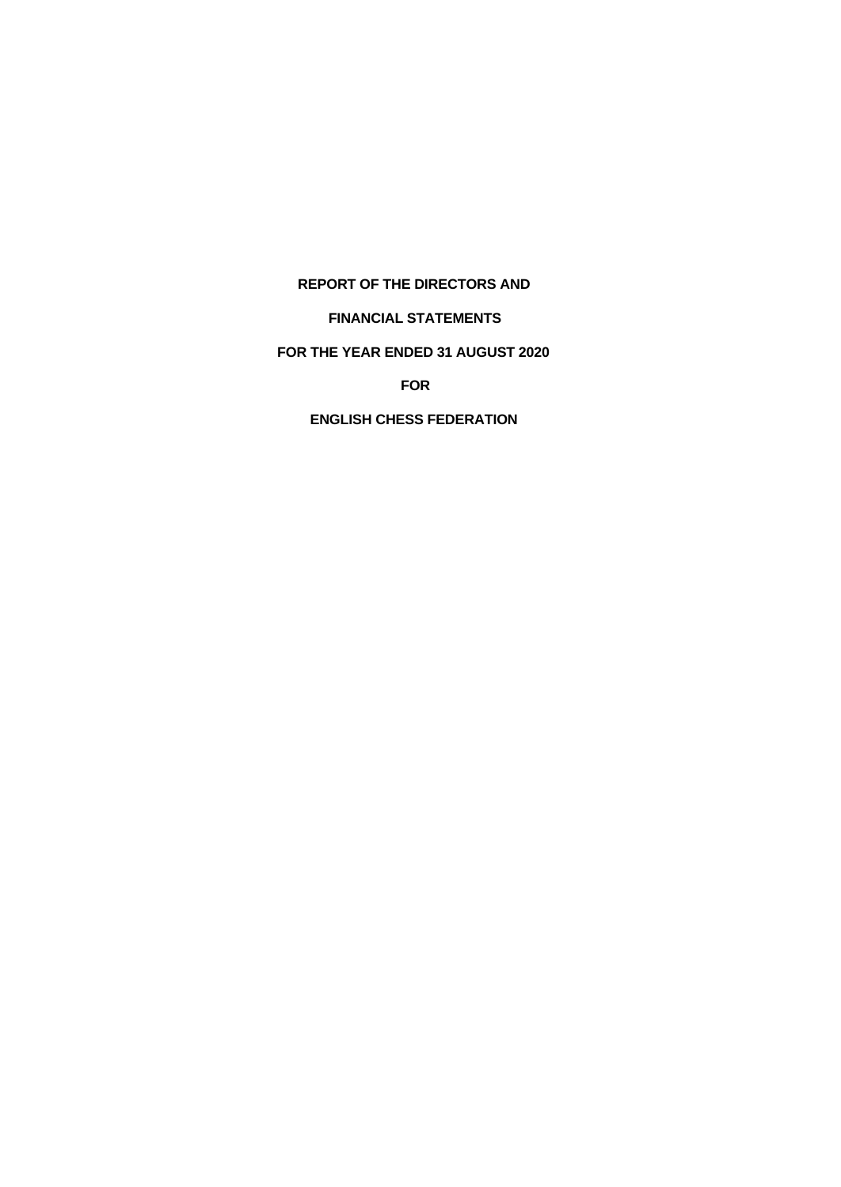# **REPORT OF THE DIRECTORS AND**

# **FINANCIAL STATEMENTS**

# **FOR THE YEAR ENDED 31 AUGUST 2020**

**FOR**

**ENGLISH CHESS FEDERATION**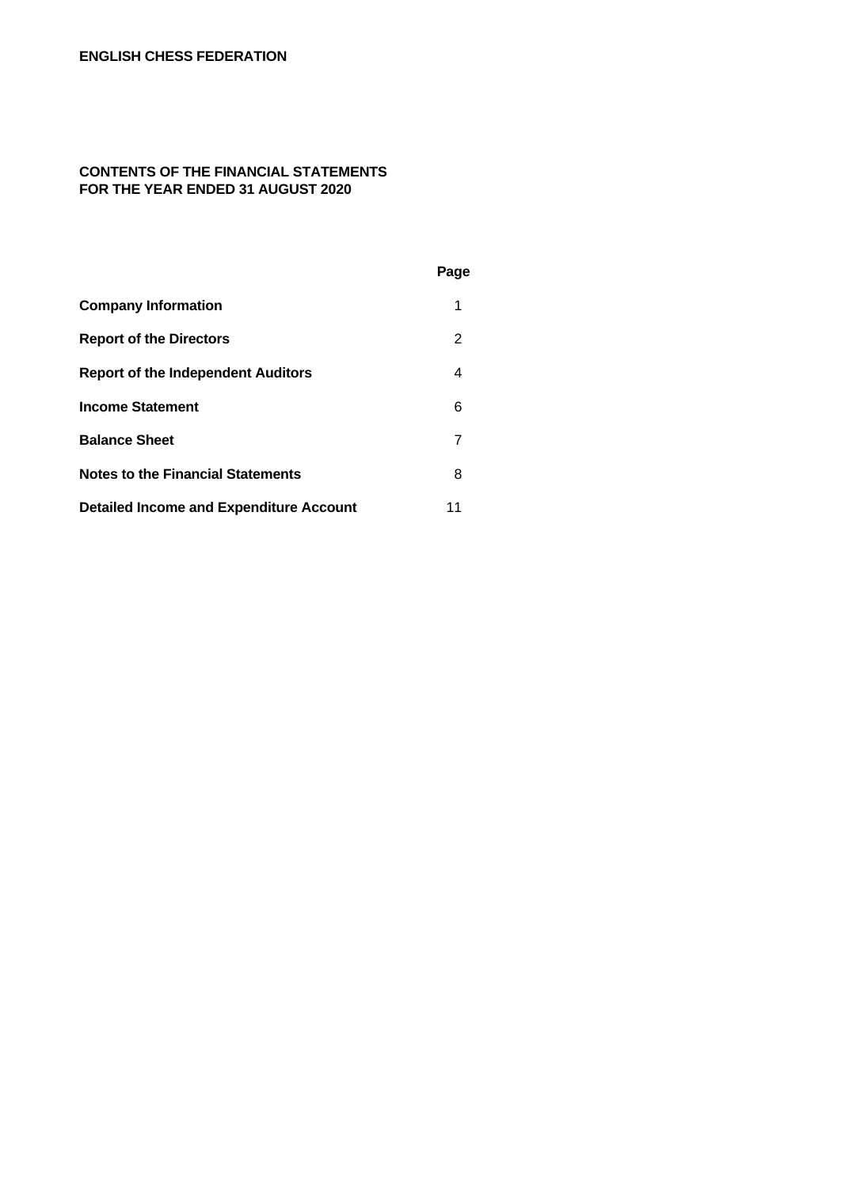# **CONTENTS OF THE FINANCIAL STATEMENTS FOR THE YEAR ENDED 31 AUGUST 2020**

|                                                | Page |  |
|------------------------------------------------|------|--|
| <b>Company Information</b>                     | 1    |  |
| <b>Report of the Directors</b>                 | 2    |  |
| <b>Report of the Independent Auditors</b>      | 4    |  |
| <b>Income Statement</b>                        | 6    |  |
| <b>Balance Sheet</b>                           | 7    |  |
| <b>Notes to the Financial Statements</b>       | 8    |  |
| <b>Detailed Income and Expenditure Account</b> | 11   |  |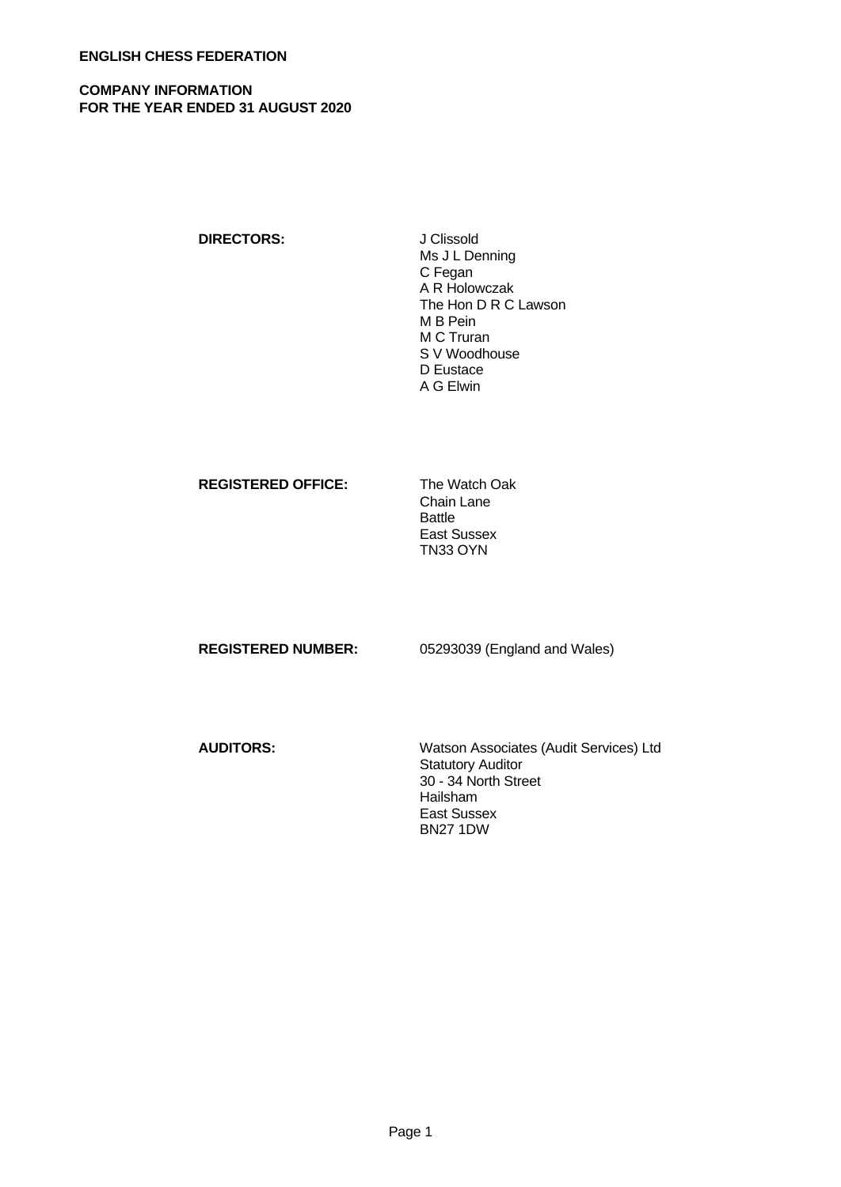# **COMPANY INFORMATION**

**FOR THE YEAR ENDED 31 AUGUST 2020**

**DIRECTORS:** J Clissold

Ms J L Denning C Fegan A R Holowczak The Hon D R C Lawson M B Pein M C Truran S V Woodhouse D Eustace A G Elwin

**REGISTERED OFFICE:** The Watch Oak

Chain Lane Battle East Sussex TN33 OYN

**REGISTERED NUMBER:** 05293039 (England and Wales)

**AUDITORS:** Watson Associates (Audit Services) Ltd Statutory Auditor 30 - 34 North Street Hailsham East Sussex BN27 1DW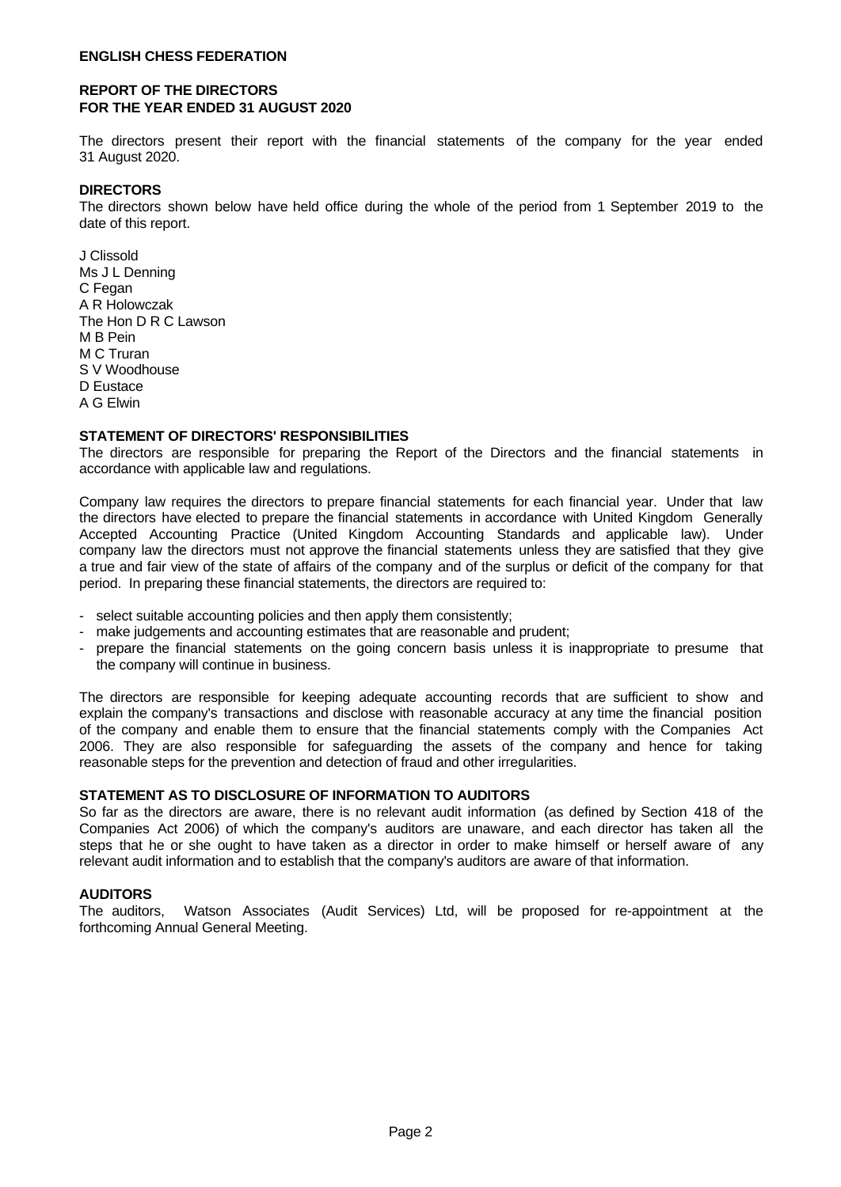# **REPORT OF THE DIRECTORS FOR THE YEAR ENDED 31 AUGUST 2020**

The directors present their report with the financial statements of the company for the year ended 31 August 2020.

### **DIRECTORS**

The directors shown below have held office during the whole of the period from 1 September 2019 to the date of this report.

J Clissold Ms J L Denning C Fegan A R Holowczak The Hon D R C Lawson M B Pein M C Truran S V Woodhouse D Eustace A G Elwin

### **STATEMENT OF DIRECTORS' RESPONSIBILITIES**

The directors are responsible for preparing the Report of the Directors and the financial statements in accordance with applicable law and regulations.

Company law requires the directors to prepare financial statements for each financial year. Under that law the directors have elected to prepare the financial statements in accordance with United Kingdom Generally Accepted Accounting Practice (United Kingdom Accounting Standards and applicable law). Under company law the directors must not approve the financial statements unless they are satisfied that they give a true and fair view of the state of affairs of the company and of the surplus or deficit of the company for that period. In preparing these financial statements, the directors are required to:<br>
- select suitable accounting policies and then apply them consistently;<br>
- make judgements and accounting estimates that are reasonable and p

- 
- 
- the company will continue in business.

The directors are responsible for keeping adequate accounting records that are sufficient to show and explain the company's transactions and disclose with reasonable accuracy at any time the financial position of the company and enable them to ensure that the financial statements comply with the Companies Act 2006. They are also responsible for safeguarding the assets of the company and hence for taking reasonable steps for the prevention and detection of fraud and other irregularities.

### **STATEMENT AS TO DISCLOSURE OF INFORMATION TO AUDITORS**

So far as the directors are aware, there is no relevant audit information (as defined by Section 418 of the Companies Act 2006) of which the company's auditors are unaware, and each director has taken all the steps that he or she ought to have taken as a director in order to make himself or herself aware of any relevant audit information and to establish that the company's auditors are aware of that information.

### **AUDITORS**

The auditors, Watson Associates (Audit Services) Ltd, will be proposed for re-appointment at the forthcoming Annual General Meeting.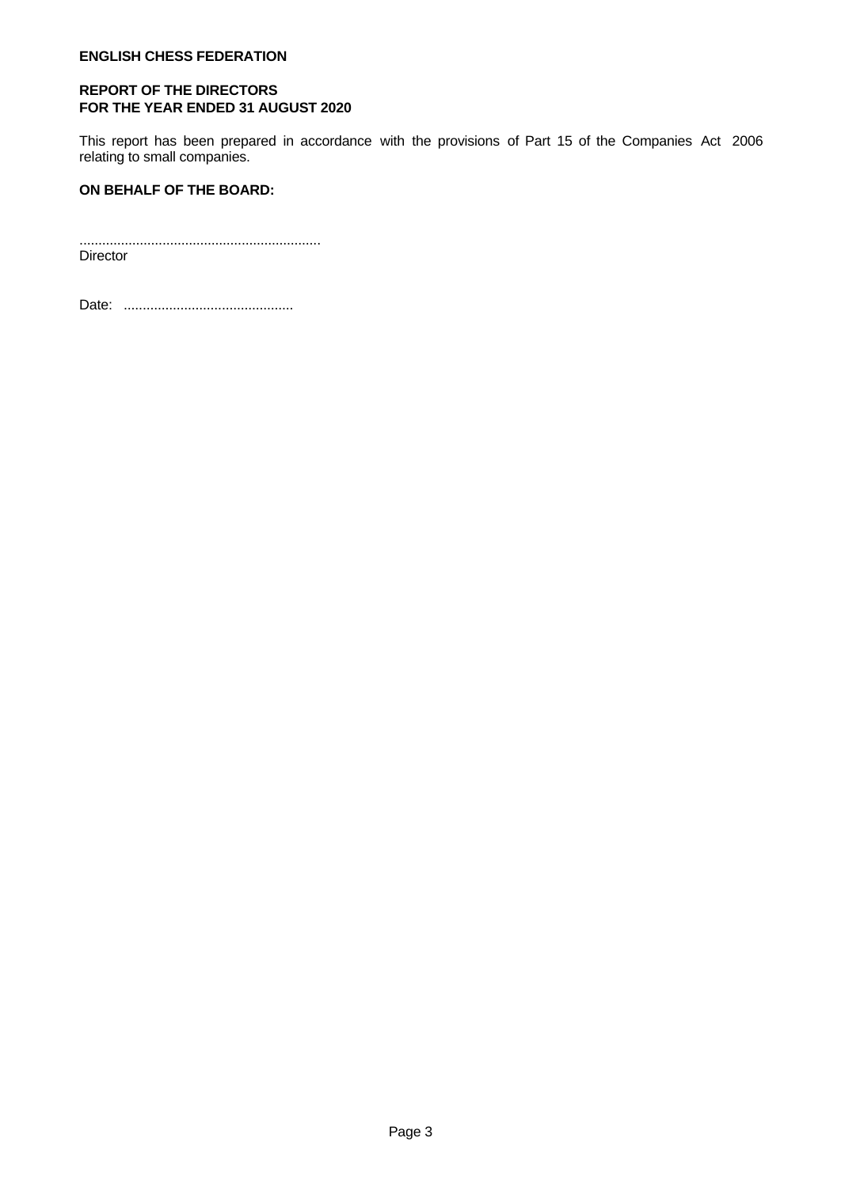# **REPORT OF THE DIRECTORS FOR THE YEAR ENDED 31 AUGUST 2020**

This report has been prepared in accordance with the provisions of Part 15 of the Companies Act 2006 relating to small companies.

# **ON BEHALF OF THE BOARD:**

................................................................

**Director** 

Date: .............................................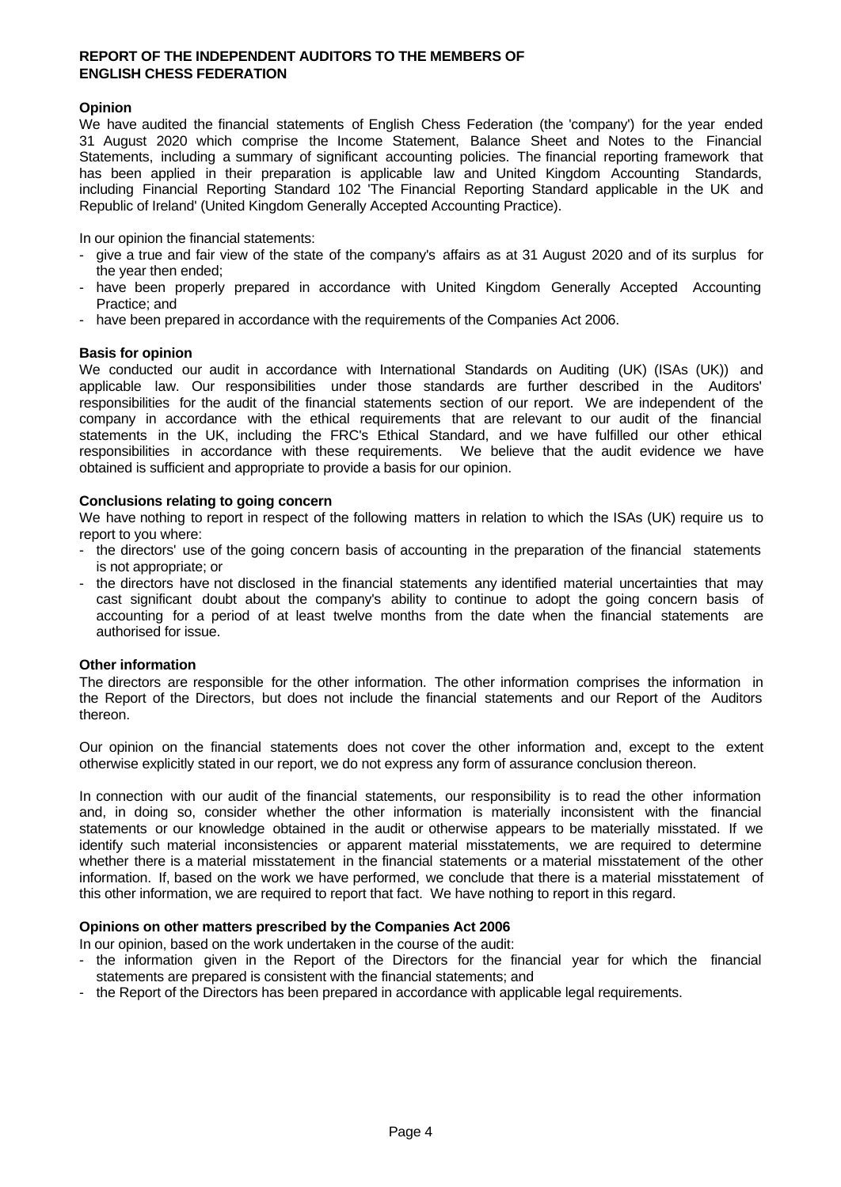## **REPORT OF THE INDEPENDENT AUDITORS TO THE MEMBERS OF ENGLISH CHESS FEDERATION**

# **Opinion**

We have audited the financial statements of English Chess Federation (the 'company') for the year ended 31 August 2020 which comprise the Income Statement, Balance Sheet and Notes to the Financial Statements, including a summary of significant accounting policies. The financial reporting framework that has been applied in their preparation is applicable law and United Kingdom Accounting Standards, including Financial Reporting Standard 102 'The Financial Reporting Standard applicable in the UK and Republic of Ireland' (United Kingdom Generally Accepted Accounting Practice).

- In our opinion the financial statements:<br>- give a true and fair view of the state of the company's affairs as at 31 August 2020 and of its surplus for
- the year then ended;<br>- have been properly prepared in accordance with United Kingdom Generally Accepted Accounting
- Practice; and have been prepared in accordance with the requirements of the Companies Act 2006.

## **Basis for opinion**

We conducted our audit in accordance with International Standards on Auditing (UK) (ISAs (UK)) and applicable law. Our responsibilities under those standards are further described in the Auditors' responsibilities for the audit of the financial statements section of our report. We are independent of the company in accordance with the ethical requirements that are relevant to our audit of the financial statements in the UK, including the FRC's Ethical Standard, and we have fulfilled our other ethical responsibilities in accordance with these requirements. We believe that the audit evidence we have obtained is sufficient and appropriate to provide a basis for our opinion.

## **Conclusions relating to going concern**

We have nothing to report in respect of the following matters in relation to which the ISAs (UK) require us to report to you where:<br>- the directors' use of the going concern basis of accounting in the preparation of the financial statements

- is not appropriate; or<br>the directors have not disclosed in the financial statements any identified material uncertainties that may
- cast significant doubt about the company's ability to continue to adopt the going concern basis of accounting for a period of at least twelve months from the date when the financial statements are authorised for issue.

### **Other information**

The directors are responsible for the other information. The other information comprises the information in the Report of the Directors, but does not include the financial statements and our Report of the Auditors thereon.

Our opinion on the financial statements does not cover the other information and, except to the extent otherwise explicitly stated in our report, we do not express any form of assurance conclusion thereon.

In connection with our audit of the financial statements, our responsibility is to read the other information and, in doing so, consider whether the other information is materially inconsistent with the financial statements or our knowledge obtained in the audit or otherwise appears to be materially misstated. If we identify such material inconsistencies or apparent material misstatements, we are required to determine whether there is a material misstatement in the financial statements or a material misstatement of the other information. If, based on the work we have performed, we conclude that there is a material misstatement of this other information, we are required to report that fact. We have nothing to report in this regard.

# **Opinions on other matters prescribed by the Companies Act 2006**

In our opinion, based on the work undertaken in the course of the audit:

- the information given in the Report of the Directors for the financial year for which the financial statements are prepared is consistent with the financial statements; and<br>- the Report of the Directors has been prepared in accordance with applicable legal requirements.
-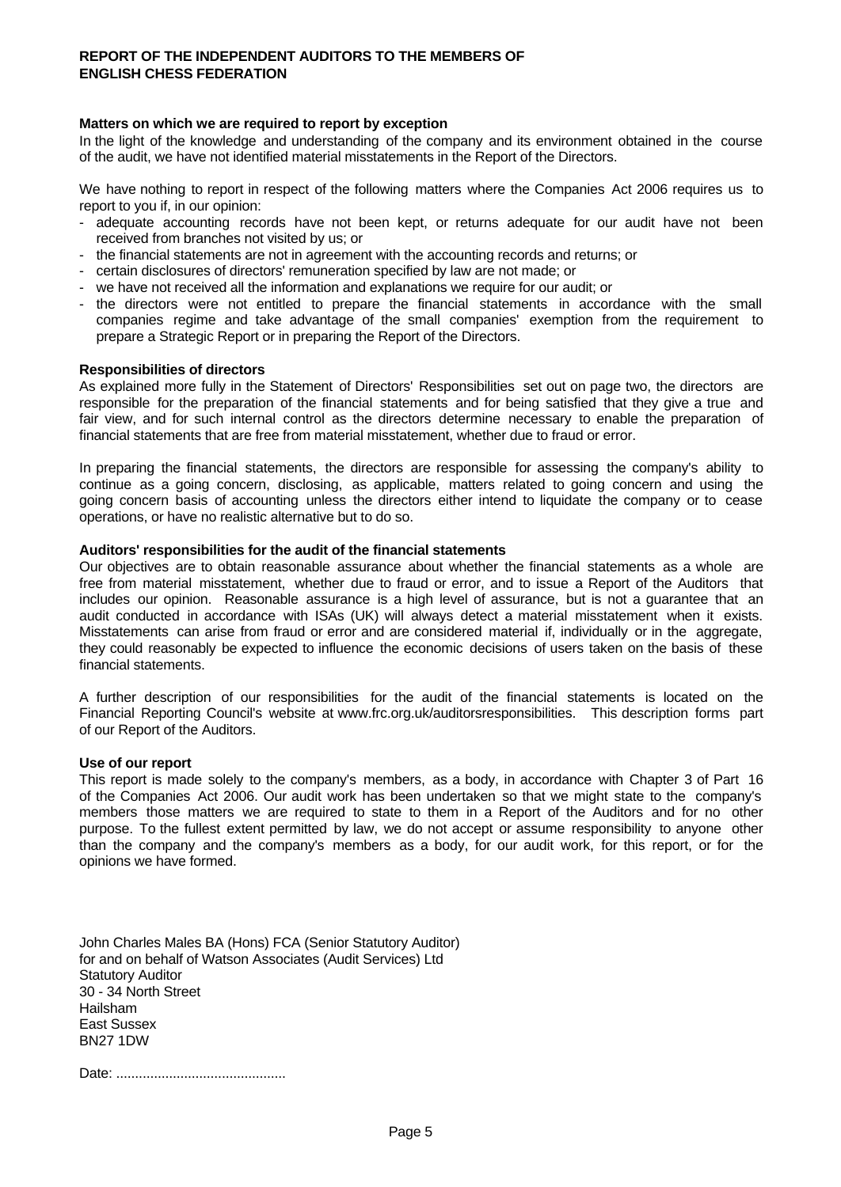## **REPORT OF THE INDEPENDENT AUDITORS TO THE MEMBERS OF ENGLISH CHESS FEDERATION**

### **Matters on which we are required to report by exception**

In the light of the knowledge and understanding of the company and its environment obtained in the course of the audit, we have not identified material misstatements in the Report of the Directors.

We have nothing to report in respect of the following matters where the Companies Act 2006 requires us to report to you if, in our opinion:<br>- adequate accounting records have not been kept, or returns adequate for our audit have not been

- received from branches not visited by us; or<br>
 the financial statements are not in agreement with the accounting records and returns; or<br>
 certain disclosures of directors' remuneration specified by law are not made; or<br>
- 
- 
- 
- companies regime and take advantage of the small companies' exemption from the requirement to prepare a Strategic Report or in preparing the Report of the Directors.

### **Responsibilities of directors**

As explained more fully in the Statement of Directors' Responsibilities set out on page two, the directors are responsible for the preparation of the financial statements and for being satisfied that they give a true and fair view, and for such internal control as the directors determine necessary to enable the preparation of financial statements that are free from material misstatement, whether due to fraud or error.

In preparing the financial statements, the directors are responsible for assessing the company's ability to continue as a going concern, disclosing, as applicable, matters related to going concern and using the going concern basis of accounting unless the directors either intend to liquidate the company or to cease operations, or have no realistic alternative but to do so.

### **Auditors' responsibilities for the audit of the financial statements**

Our objectives are to obtain reasonable assurance about whether the financial statements as a whole are free from material misstatement,whether due to fraud or error, and to issue a Report of the Auditors that includes our opinion. Reasonable assurance is a high level of assurance, but is not a guarantee that an audit conducted in accordance with ISAs (UK) will always detect a material misstatement when it exists. Misstatements can arise from fraud or error and are considered material if, individually or in the aggregate, they could reasonably be expected to influence the economic decisions of users taken on the basis of these financial statements.

A further description of our responsibilities for the audit of the financial statements is located on the Financial Reporting Council's website at www.frc.org.uk/auditorsresponsibilities. This description forms part of our Report of the Auditors.

#### **Use of our report**

This report is made solely to the company's members, as a body, in accordance with Chapter 3 of Part 16 of the Companies Act 2006. Our audit work has been undertaken so that we might state to the company's members those matters we are required to state to them in a Report of the Auditors and for no other purpose. To the fullest extent permitted by law, we do not accept or assume responsibility to anyone other than the company and the company's members as a body, for our audit work, for this report, or for the opinions we have formed.

John Charles Males BA (Hons) FCA (Senior Statutory Auditor) for and on behalf of Watson Associates (Audit Services) Ltd Statutory Auditor 30 - 34 North Street Hailsham East Sussex BN27 1DW

Date: .............................................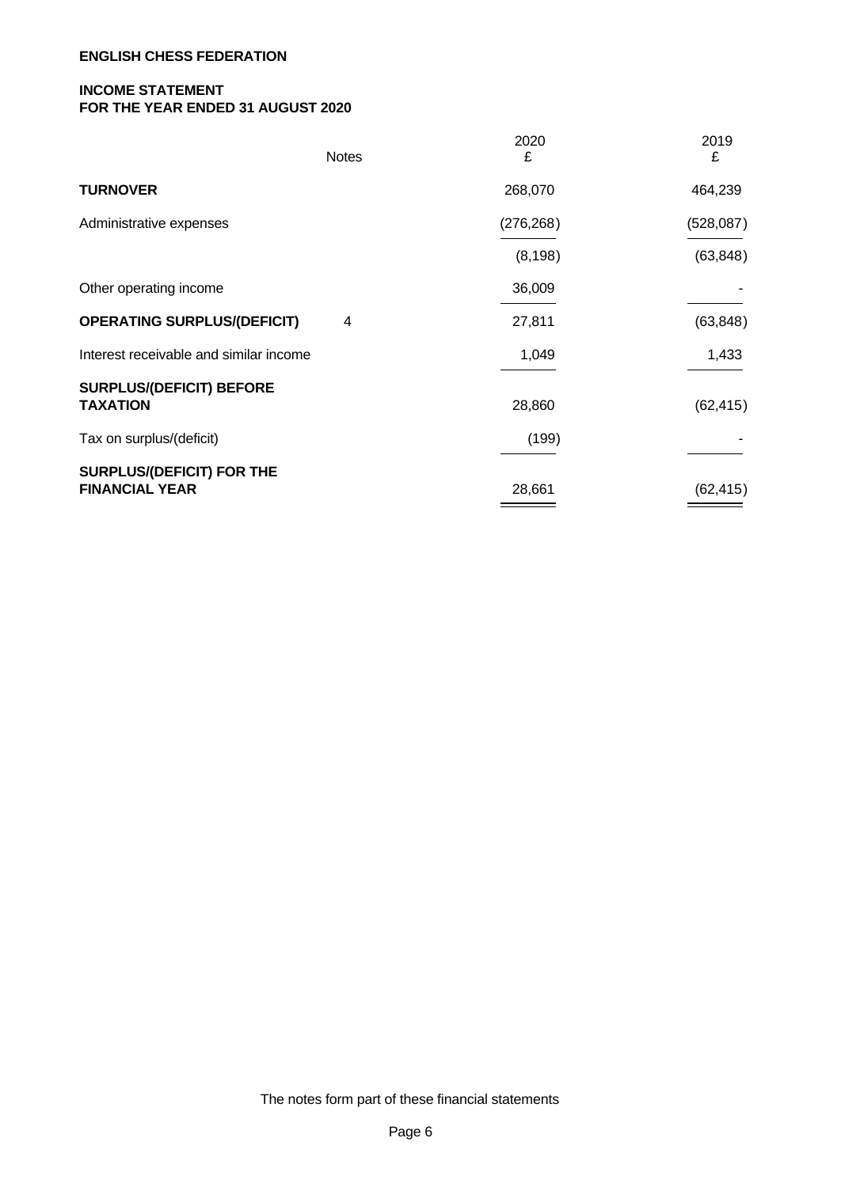# **INCOME STATEMENT FOR THE YEAR ENDED 31 AUGUST 2020**

|                                                    | <b>Notes</b> | 2020<br>£  | 2019<br>£ |  |
|----------------------------------------------------|--------------|------------|-----------|--|
| <b>TURNOVER</b>                                    |              | 268,070    | 464,239   |  |
| Administrative expenses                            |              | (276, 268) | (528,087) |  |
|                                                    |              | (8, 198)   | (63, 848) |  |
| Other operating income                             |              | 36,009     |           |  |
| <b>OPERATING SURPLUS/(DEFICIT)</b>                 | 4            | 27,811     | (63, 848) |  |
| Interest receivable and similar income             |              | 1,049      | 1,433     |  |
| <b>SURPLUS/(DEFICIT) BEFORE</b><br><b>TAXATION</b> |              | 28,860     | (62, 415) |  |
| Tax on surplus/(deficit)                           |              | (199)      |           |  |
| SURPLUS/(DEFICIT) FOR THE<br><b>FINANCIAL YEAR</b> |              | 28,661     | (62, 415) |  |
|                                                    |              |            |           |  |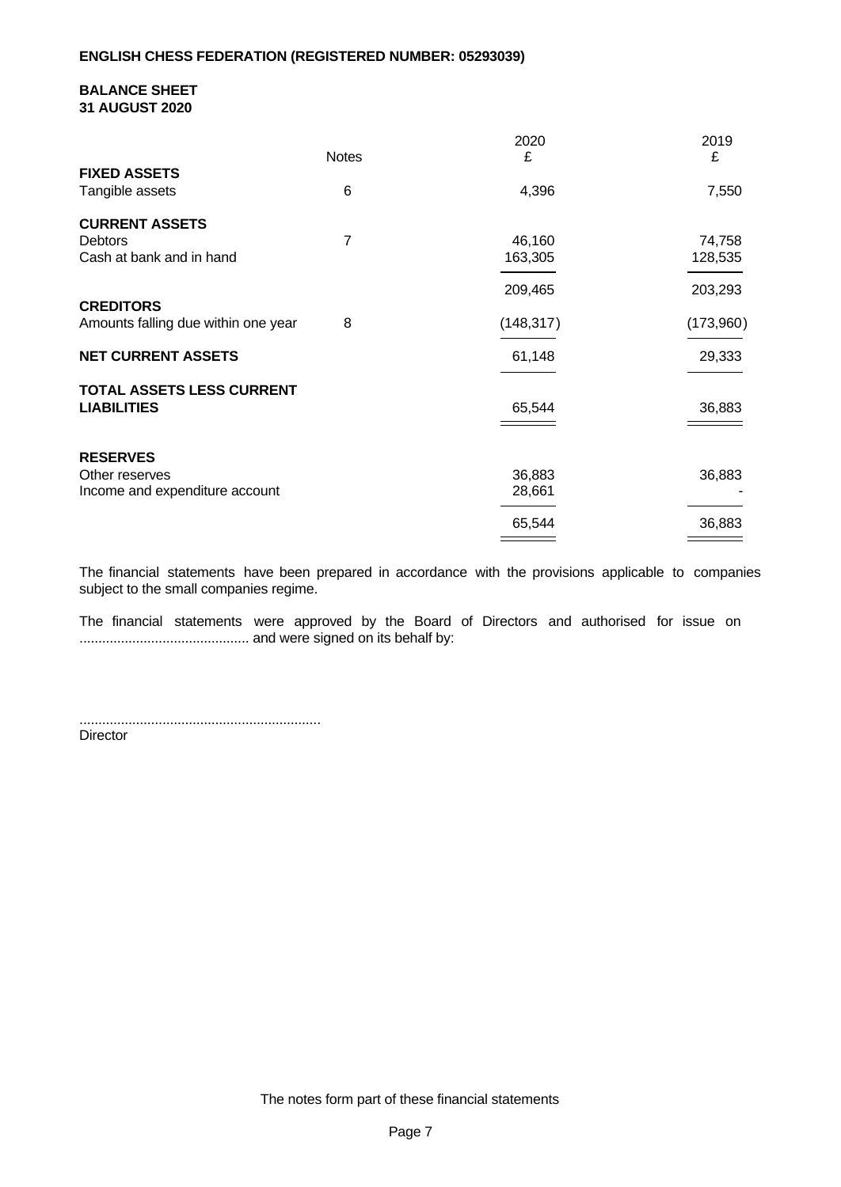## **BALANCE SHEET 31 AUGUST 2020**

|                                     |              | 2020       | 2019      |
|-------------------------------------|--------------|------------|-----------|
|                                     | <b>Notes</b> | £          | £         |
| <b>FIXED ASSETS</b>                 |              |            |           |
| Tangible assets                     | 6            | 4,396      | 7,550     |
| <b>CURRENT ASSETS</b>               |              |            |           |
| Debtors                             | 7            | 46,160     | 74,758    |
| Cash at bank and in hand            |              | 163,305    | 128,535   |
|                                     |              |            |           |
|                                     |              | 209,465    | 203,293   |
| <b>CREDITORS</b>                    |              |            |           |
| Amounts falling due within one year | 8            | (148, 317) | (173,960) |
|                                     |              |            |           |
| <b>NET CURRENT ASSETS</b>           |              | 61,148     | 29,333    |
|                                     |              |            |           |
| TOTAL ASSETS LESS CURRENT           |              |            |           |
| <b>LIABILITIES</b>                  |              | 65,544     | 36,883    |
|                                     |              |            |           |
|                                     |              |            |           |
| <b>RESERVES</b>                     |              |            |           |
| Other reserves                      |              | 36,883     | 36,883    |
| Income and expenditure account      |              | 28,661     |           |
|                                     |              | 65,544     | 36,883    |
|                                     |              |            |           |

The financial statements have been prepared in accordance with the provisions applicable to companies subject to the small companies regime.

The financial statements were approved by the Board of Directors and authorised for issue on ............................................. and were signed on its behalf by:

| Dissa |  |
|-------|--|

Director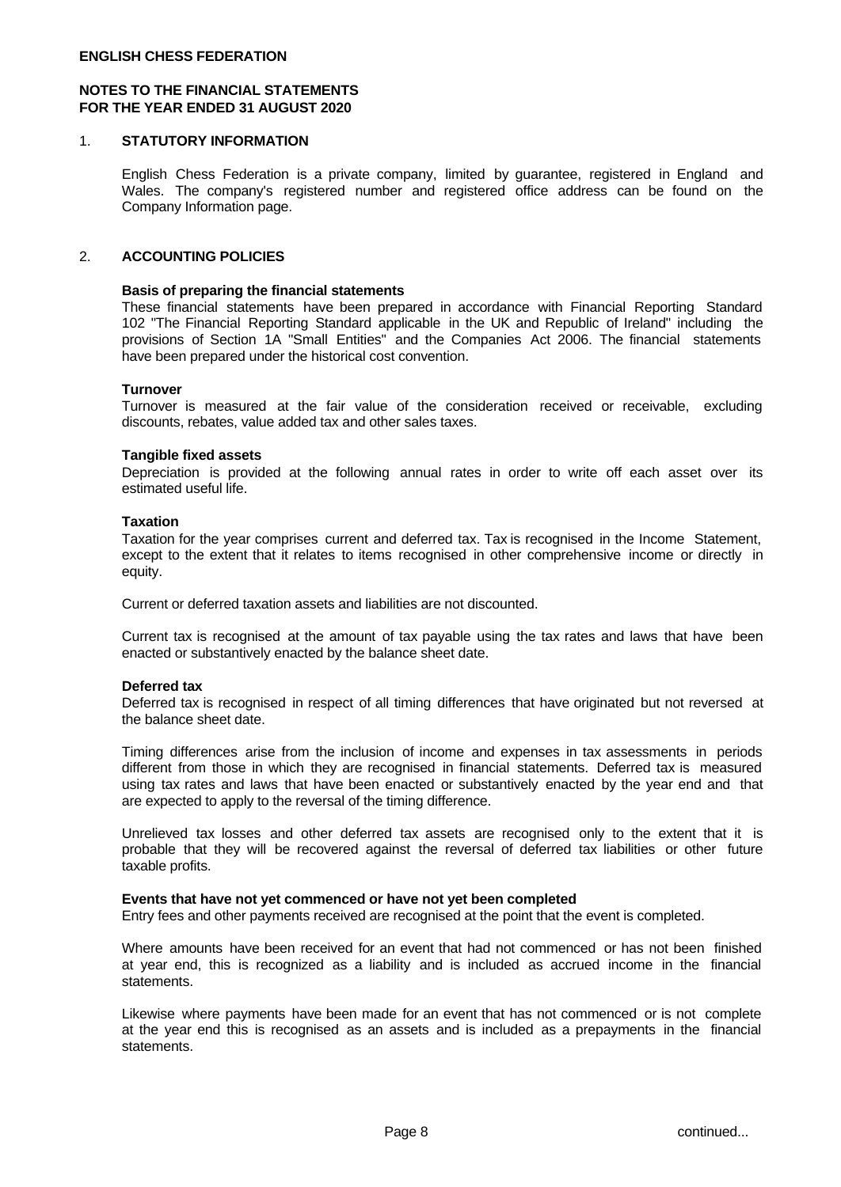# **NOTES TO THE FINANCIAL STATEMENTS FOR THE YEAR ENDED 31 AUGUST 2020**

## 1. **STATUTORY INFORMATION**

English Chess Federation is a private company, limited by guarantee, registered in England and Wales. The company's registered number and registered office address can be found on the Company Information page.

### 2. **ACCOUNTING POLICIES**

### **Basis of preparing the financial statements**

These financial statements have been prepared in accordance with Financial Reporting Standard 102 "The Financial Reporting Standard applicable in the UK and Republic of Ireland" including the provisions of Section 1A "Small Entities" and the Companies Act 2006. The financial statements have been prepared under the historical cost convention.

### **Turnover**

Turnover is measured at the fair value of the consideration received or receivable, excluding discounts, rebates, value added tax and other sales taxes.

### **Tangible fixed assets**

Depreciation is provided at the following annual rates in order to write off each asset over its estimated useful life.

### **Taxation**

Taxation for the year comprises current and deferred tax. Tax is recognised in the Income Statement, except to the extent that it relates to items recognised in other comprehensive income or directly in equity.

Current or deferred taxation assets and liabilities are not discounted.

Current tax is recognised at the amount of tax payable using the tax rates and laws that have been enacted or substantively enacted by the balance sheet date.

### **Deferred tax**

Deferred tax is recognised in respect of all timing differences that have originated but not reversed at the balance sheet date.

Timing differences arise from the inclusion of income and expenses in tax assessments in periods different from those in which they are recognised in financial statements. Deferred tax is measured using tax rates and laws that have been enacted or substantively enacted by the year end and that are expected to apply to the reversal of the timing difference.

Unrelieved tax losses and other deferred tax assets are recognised only to the extent that it is probable that they will be recovered against the reversal of deferred tax liabilities or other future taxable profits.

#### **Events that have not yet commenced or have not yet been completed**

Entry fees and other payments received are recognised at the point that the event is completed.

Where amounts have been received for an event that had not commenced or has not been finished at year end, this is recognized as a liability and is included as accrued income in the financial statements.

Likewise where payments have been made for an event that has not commenced or is not complete at the year end this is recognised as an assets and is included as a prepayments in the financial statements.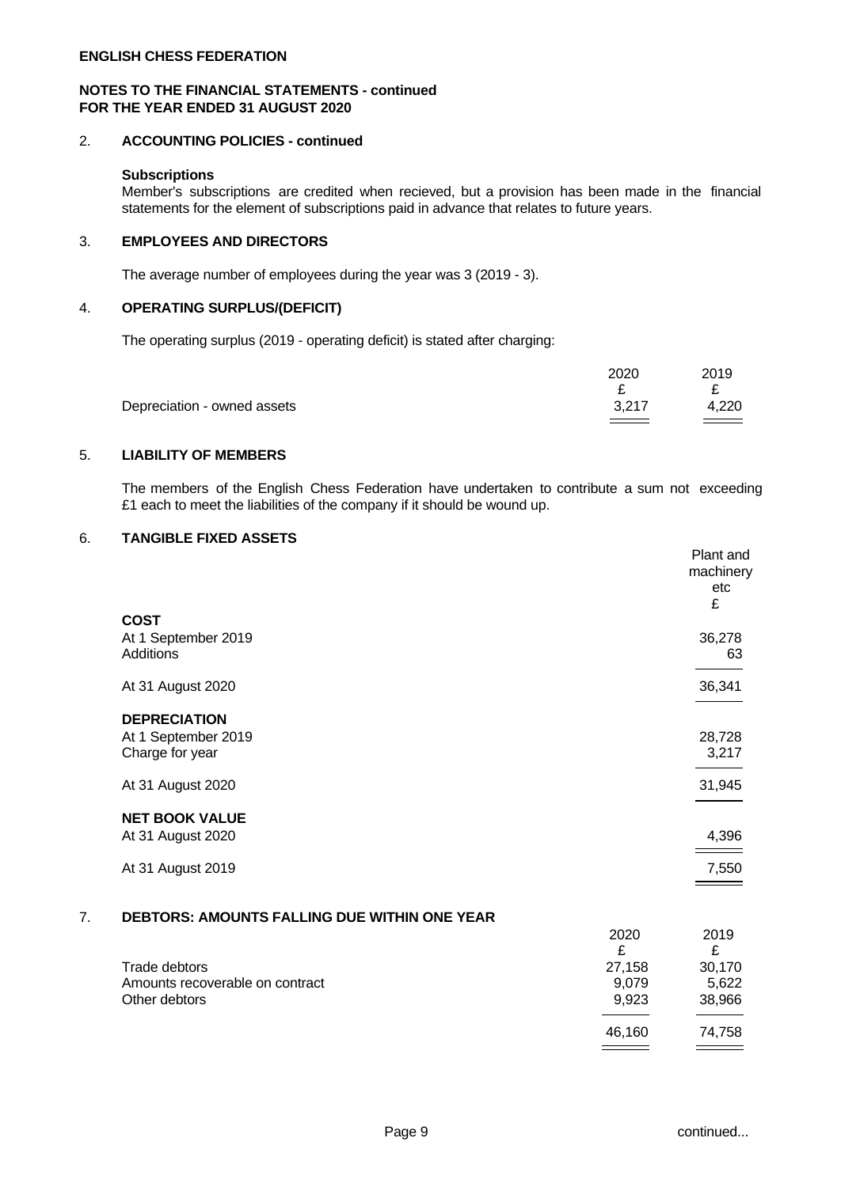## **NOTES TO THE FINANCIAL STATEMENTS - continued FOR THE YEAR ENDED 31 AUGUST 2020**

## 2. **ACCOUNTING POLICIES - continued**

## **Subscriptions**

Member's subscriptions are credited when recieved, but a provision has been made in the financial statements for the element of subscriptions paid in advance that relates to future years.

## 3. **EMPLOYEES AND DIRECTORS**

The average number of employees during the year was 3 (2019 - 3).

# 4. **OPERATING SURPLUS/(DEFICIT)**

The operating surplus (2019 - operating deficit) is stated after charging:

|                             | 2020                                 | 2019  |  |
|-----------------------------|--------------------------------------|-------|--|
|                             |                                      |       |  |
| Depreciation - owned assets | 2217                                 | 4,220 |  |
|                             | _____<br>and the control of the con- |       |  |

# 5. **LIABILITY OF MEMBERS**

The members of the English Chess Federation have undertaken to contribute a sum not exceeding £1 each to meet the liabilities of the company if it should be wound up.

## 6. **TANGIBLE FIXED ASSETS**

|    |                                              |        | Plant and<br>machinery<br>etc<br>£ |  |
|----|----------------------------------------------|--------|------------------------------------|--|
|    | <b>COST</b>                                  |        |                                    |  |
|    | At 1 September 2019<br>Additions             |        | 36,278<br>63                       |  |
|    | At 31 August 2020                            |        | 36,341                             |  |
|    | <b>DEPRECIATION</b>                          |        |                                    |  |
|    | At 1 September 2019                          |        | 28,728                             |  |
|    | Charge for year                              |        | 3,217                              |  |
|    | At 31 August 2020                            |        | 31,945                             |  |
|    | <b>NET BOOK VALUE</b>                        |        |                                    |  |
|    | At 31 August 2020                            |        | 4,396                              |  |
|    | At 31 August 2019                            |        | 7,550                              |  |
|    |                                              |        |                                    |  |
| 7. | DEBTORS: AMOUNTS FALLING DUE WITHIN ONE YEAR |        |                                    |  |
|    |                                              | 2020   | 2019                               |  |
|    |                                              | £      | £                                  |  |
|    | Trade debtors                                | 27,158 | 30,170                             |  |
|    | Amounts recoverable on contract              | 9,079  | 5,622                              |  |
|    | Other debtors                                | 9,923  | 38,966                             |  |
|    |                                              | 46,160 | 74,758                             |  |
|    |                                              |        |                                    |  |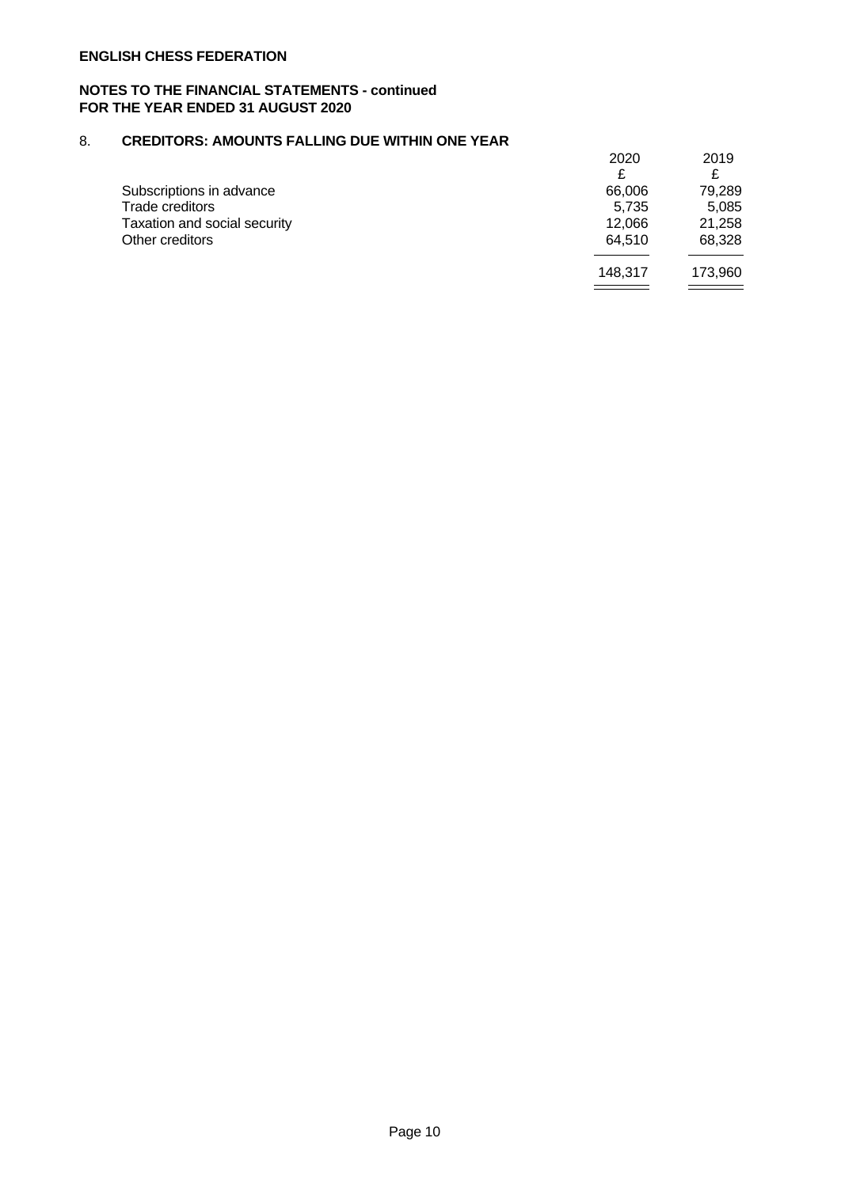# **NOTES TO THE FINANCIAL STATEMENTS - continued FOR THE YEAR ENDED 31 AUGUST 2020**

# 8. **CREDITORS: AMOUNTS FALLING DUE WITHIN ONE YEAR**

|                              | 2020    | 2019    |
|------------------------------|---------|---------|
|                              |         | £       |
| Subscriptions in advance     | 66,006  | 79,289  |
| Trade creditors              | 5,735   | 5,085   |
| Taxation and social security | 12,066  | 21,258  |
| Other creditors              | 64,510  | 68,328  |
|                              | 148,317 | 173,960 |
|                              |         |         |